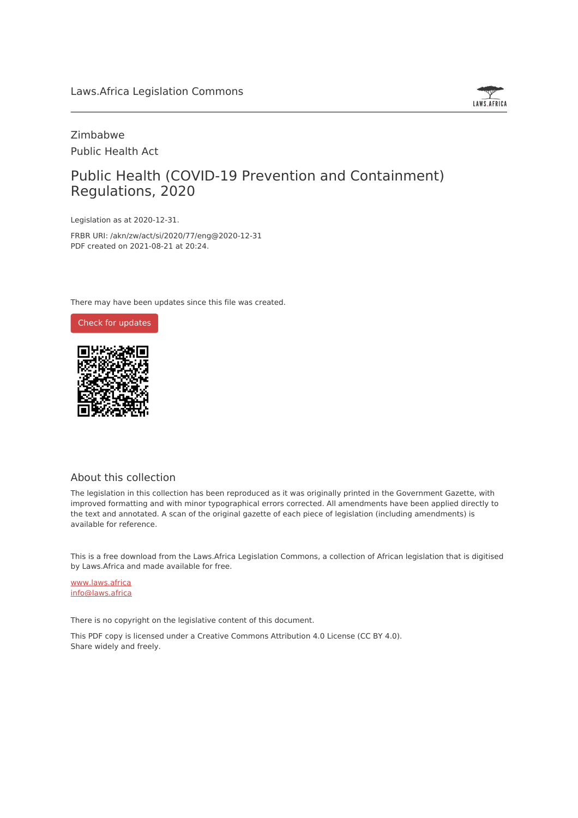

# Zimbabwe Public Health Act

# Public Health (COVID-19 Prevention and Containment) Regulations, 2020

Legislation as at 2020-12-31.

FRBR URI: /akn/zw/act/si/2020/77/eng@2020-12-31 PDF created on 2021-08-21 at 20:24.

There may have been updates since this file was created.



## About this collection

The legislation in this collection has been reproduced as it was originally printed in the Government Gazette, with improved formatting and with minor typographical errors corrected. All amendments have been applied directly to the text and annotated. A scan of the original gazette of each piece of legislation (including amendments) is available for reference.

This is a free download from the Laws.Africa Legislation Commons, a collection of African legislation that is digitised by Laws.Africa and made available for free.

[www.laws.africa](https://www.laws.africa) [info@laws.africa](mailto:info@laws.africa)

There is no copyright on the legislative content of this document.

This PDF copy is licensed under a Creative Commons Attribution 4.0 License (CC BY 4.0). Share widely and freely.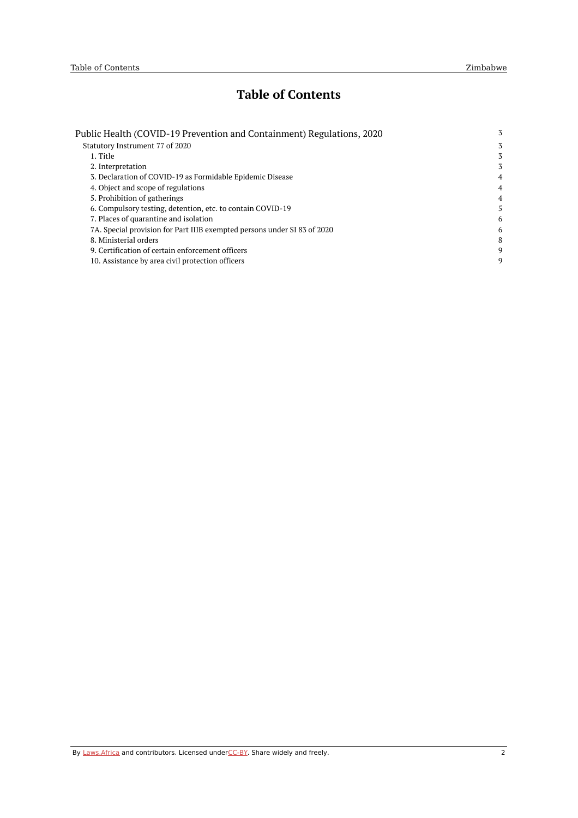# **Table of Contents**

| Public Health (COVID-19 Prevention and Containment) Regulations, 2020<br>Statutory Instrument 77 of 2020 | 3              |
|----------------------------------------------------------------------------------------------------------|----------------|
|                                                                                                          | 3              |
| 1. Title                                                                                                 | 3              |
| 2. Interpretation                                                                                        | 3              |
| 3. Declaration of COVID-19 as Formidable Epidemic Disease                                                | $\overline{4}$ |
| 4. Object and scope of regulations                                                                       | 4              |
| 5. Prohibition of gatherings                                                                             | 4              |
| 6. Compulsory testing, detention, etc. to contain COVID-19                                               | 5              |
| 7. Places of quarantine and isolation                                                                    | 6              |
| 7A. Special provision for Part IIIB exempted persons under SI 83 of 2020                                 | 6              |
| 8. Ministerial orders                                                                                    | 8              |
| 9. Certification of certain enforcement officers                                                         | 9              |
| 10. Assistance by area civil protection officers                                                         | 9              |
|                                                                                                          |                |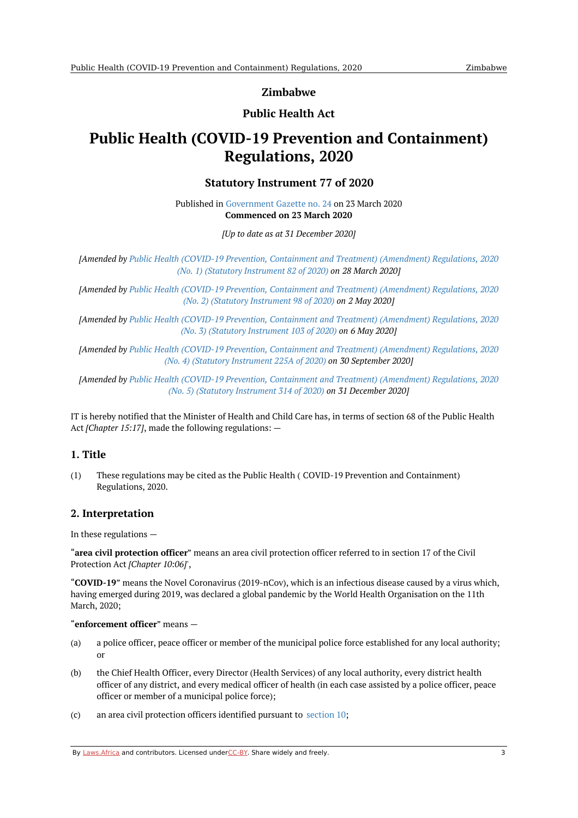**Zimbabwe**

# **Public Health Act**

# <span id="page-2-1"></span><span id="page-2-0"></span>**Public Health (COVID-19 Prevention and Containment) Regulations, 2020**

## **Statutory Instrument 77 of 2020**

Published in [Government](https://commons.laws.africa/akn/zw/act/si/2020/77/media/publication/zw-act-si-2020-77-publication-document.pdf) Gazette no. 24 on 23 March 2020 **Commenced on 23 March 2020**

*[Up to date as at 31 December 2020]*

*[Amended by Public Health (COVID-19 Prevention, Containment and Treatment) [\(Amendment\)](https://africanlii.org/akn/zw/act/si/2020/82) Regulations, 2020 (No. 1) (Statutory Instrument 82 of 2020) on 28 March 2020]*

*[Amended by Public Health (COVID-19 Prevention, Containment and Treatment) [\(Amendment\)](https://africanlii.org/akn/zw/act/si/2020/98) Regulations, 2020 (No. 2) (Statutory Instrument 98 of 2020) on 2 May 2020]*

*[Amended by Public Health (COVID-19 Prevention, Containment and Treatment) [\(Amendment\)](https://africanlii.org/akn/zw/act/si/2020/103) Regulations, 2020 (No. 3) (Statutory Instrument 103 of 2020) on 6 May 2020]*

*[Amended by Public Health (COVID-19 Prevention, Containment and Treatment) [\(Amendment\)](https://africanlii.org/akn/zw/act/si/2020/225a) Regulations, 2020 (No. 4) (Statutory Instrument 225A of 2020) on 30 September 2020]*

*[Amended by Public Health (COVID-19 Prevention, Containment and Treatment) [\(Amendment\)](https://africanlii.org/akn/zw/act/si/2020/314) Regulations, 2020 (No. 5) (Statutory Instrument 314 of 2020) on 31 December 2020]*

IT is hereby notified that the Minister of Health and Child Care has, in terms of section 68 of the Public Health Act *[Chapter 15:17]*, made the following regulations: —

## <span id="page-2-2"></span>**1. Title**

(1) These regulations may be cited as the Public Health ( COVID-19 Prevention and Containment) Regulations, 2020.

## <span id="page-2-3"></span>**2. Interpretation**

In these regulations —

"**area civil protection officer**" means an area civil protection officer referred to in section 17 of the Civil Protection Act *[Chapter 10:06]*',

"**COVID-19**" means the Novel Coronavirus (2019-nCov), which is an infectious disease caused by a virus which, having emerged during 2019, was declared a global pandemic by the World Health Organisation on the 11th March, 2020;

#### "**enforcement officer**" means —

- (a) a police officer, peace officer or member of the municipal police force established for any local authority; or
- $(h)$ the Chief Health Officer, every Director (Health Services) of any local authority, every district health officer of any district, and every medical officer of health (in each case assisted by a police officer, peace officer or member of a municipal police force);
- $(c)$ an area civil protection officers identified pursuant to [section](#page-8-1) 10;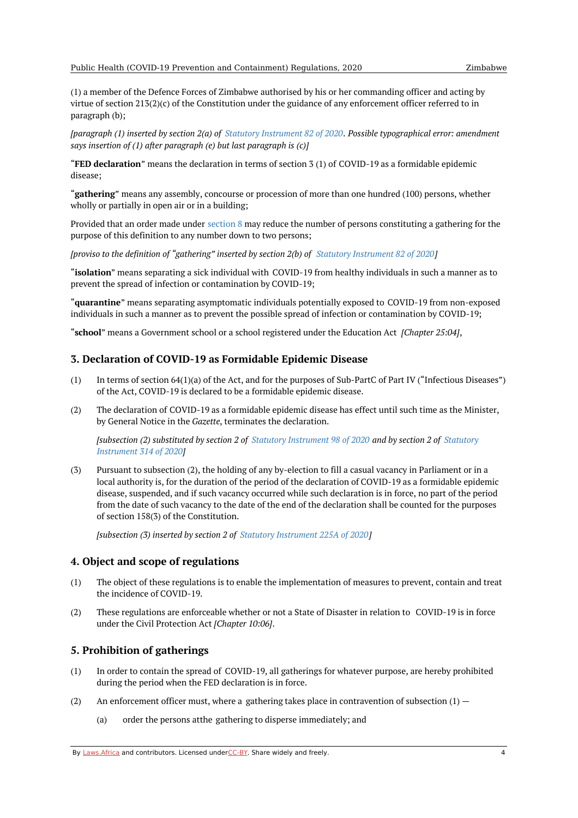<span id="page-3-3"></span>(1) a member of the Defence Forces of Zimbabwe authorised by his or her commanding officer and acting by virtue of section 213(2)(c) of the Constitution under the guidance of any enforcement officer referred to in paragraph (b);

[paragraph (1) inserted by section 2(a) of Statutory [Instrument](https://africanlii.org/akn/zw/act/si/2020/82) 82 of 2020. Possible typographical error: amendment *says insertion of (1) after paragraph (e) but last paragraph is (c)]*

"**FED declaration**" means the declaration in terms of section 3 (1) of COVID-19 as a formidable epidemic disease;

"**gathering**" means any assembly, concourse or procession of more than one hundred (100) persons, whether wholly or partially in open air or in a building;

Provided that an order made under [section](#page-7-0) 8 may reduce the number of persons constituting a gathering for the purpose of this definition to any number down to two persons;

*[proviso to the definition of "gathering" inserted by section 2(b) of Statutory [Instrument](https://africanlii.org/akn/zw/act/si/2020/82) 82 of 2020]*

"**isolation**" means separating a sick individual with COVID-19 from healthy individuals in such a manner as to prevent the spread of infection or contamination by COVID-19;

"**quarantine**" means separating asymptomatic individuals potentially exposed to COVID-19 from non-exposed individuals in such a manner as to prevent the possible spread of infection or contamination by COVID-19;

"**school**" means a Government school or a school registered under the Education Act *[Chapter 25:04]*,

#### <span id="page-3-0"></span>**3. Declaration of COVID-19 as Formidable Epidemic Disease**

- (1) In terms of section 64(1)(a) of the Act, and for the purposes of Sub-PartC of Part IV ("Infectious Diseases") of the Act, COVID-19 is declared to be a formidable epidemic disease.
- (2) The declaration of COVID-19 as a formidable epidemic disease has effect until such time as the Minister, by General Notice in the *Gazette*, terminates the declaration.

[\[subsection](https://africanlii.org/akn/zw/act/si/2020/314) (2) substituted by section 2 of Statutory [Instrument](https://africanlii.org/akn/zw/act/si/2020/98) 98 of 2020 and by section 2 of Statutory *Instrument 314 of 2020]*

(3) Pursuant to subsection (2), the holding of any by-election to fill a casual vacancy in Parliament or in a local authority is, for the duration of the period of the declaration of COVID-19 as a formidable epidemic disease, suspended, and if such vacancy occurred while such declaration is in force, no part of the period from the date of such vacancy to the date of the end of the declaration shall be counted for the purposes of section 158(3) of the Constitution.

*[subsection (3) inserted by section 2 of Statutory [Instrument](https://africanlii.org/akn/zw/act/si/2020/225a) 225A of 2020]*

#### <span id="page-3-1"></span>**4. Object and scope of regulations**

- (1) The object of these regulations is to enable the implementation of measures to prevent, contain and treat the incidence of COVID-19.
- (2) These regulations are enforceable whether or not a State of Disaster in relation to COVID-19 is in force under the Civil Protection Act *[Chapter 10:06]*.

#### <span id="page-3-2"></span>**5. Prohibition of gatherings**

- (1) In order to contain the spread of COVID-19, all gatherings for whatever purpose, are hereby prohibited during the period when the FED declaration is in force.
- (2) An enforcement officer must, where a gathering takes place in contravention of subsection  $(1)$  –
	- (a) order the persons atthe gathering to disperse immediately; and

By [Laws.Africa](https://edit.laws.africa/widgets/pdf-attribution) and contributors. Licensed und[erCC-B](https://edit.laws.africa/widgets/pdf-cc-by)Y. Share widely and freely. 4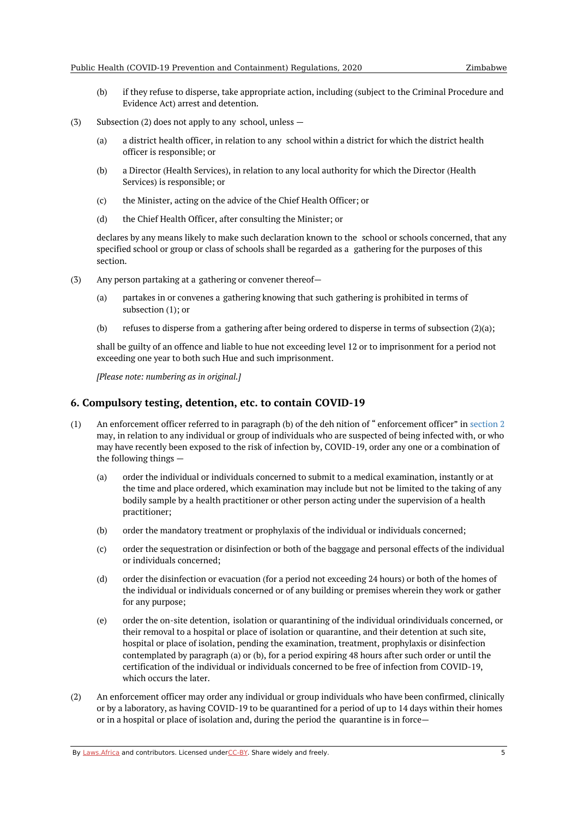- (b) if they refuse to disperse, take appropriate action, including (subject to the Criminal Procedure and Evidence Act) arrest and detention.
- (3) Subsection (2) does not apply to any school, unless —
	- (a) a district health officer, in relation to any school within a district for which the district health officer is responsible; or
	- (b) a Director (Health Services), in relation to any local authority for which the Director (Health Services) is responsible; or
	- (c) the Minister, acting on the advice of the Chief Health Officer; or
	- (d) the Chief Health Officer, after consulting the Minister; or

declares by any means likely to make such declaration known to the school or schools concerned, that any specified school or group or class of schools shall be regarded as a gathering for the purposes of this section.

- (3) Any person partaking at a gathering or convener thereof—
	- (a) partakes in or convenes a gathering knowing that such gathering is prohibited in terms of subsection (1); or
	- (b) refuses to disperse from a gathering after being ordered to disperse in terms of subsection (2)(a);

shall be guilty of an offence and liable to hue not exceeding level 12 or to imprisonment for a period not exceeding one year to both such Hue and such imprisonment.

*[Please note: numbering as in original.]*

#### <span id="page-4-0"></span>**6. Compulsory testing, detention, etc. to contain COVID-19**

- (1) An enforcement officer referred to in paragraph (b) of the deh nition of " enforcement officer" in [section](#page-3-3) 2 may, in relation to any individual or group of individuals who are suspected of being infected with, or who may have recently been exposed to the risk of infection by, COVID-19, order any one or a combination of the following things —
	- (a) order the individual or individuals concerned to submit to a medical examination, instantly or at the time and place ordered, which examination may include but not be limited to the taking of any bodily sample by a health practitioner or other person acting under the supervision of a health practitioner;
	- (b) order the mandatory treatment or prophylaxis of the individual or individuals concerned;
	- (c) order the sequestration or disinfection or both of the baggage and personal effects of the individual or individuals concerned;
	- (d) order the disinfection or evacuation (for a period not exceeding 24 hours) or both of the homes of the individual or individuals concerned or of any building or premises wherein they work or gather for any purpose;
	- (e) order the on-site detention, isolation or quarantining of the individual orindividuals concerned, or their removal to a hospital or place of isolation or quarantine, and their detention at such site, hospital or place of isolation, pending the examination, treatment, prophylaxis or disinfection contemplated by paragraph (a) or (b), for a period expiring 48 hours after such order or until the certification of the individual or individuals concerned to be free of infection from COVID-19, which occurs the later.
- (2) An enforcement officer may order any individual or group individuals who have been confirmed, clinically or by a laboratory, as having COVID-19 to be quarantined for a period of up to 14 days within their homes or in a hospital or place of isolation and, during the period the quarantine is in force—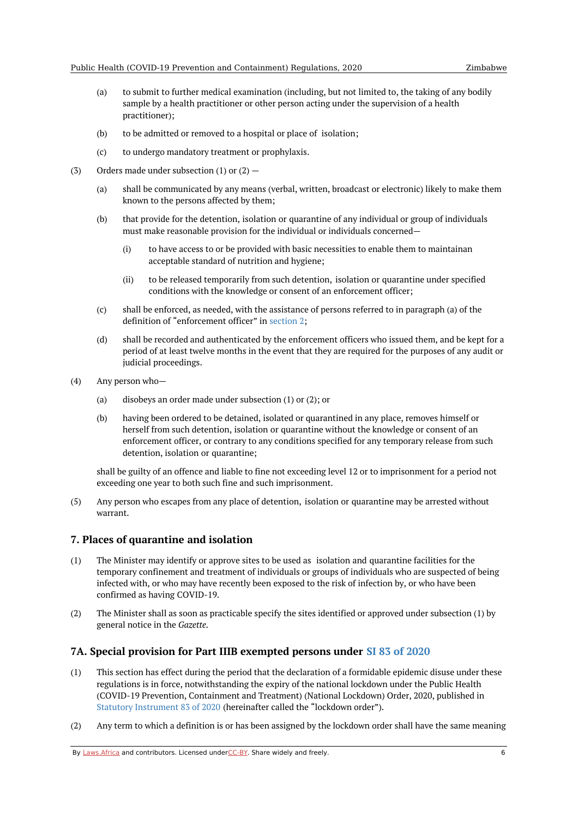- (a) to submit to further medical examination (including, but not limited to, the taking of any bodily sample by a health practitioner or other person acting under the supervision of a health practitioner);
- (b) to be admitted or removed to a hospital or place of isolation;
- (c) to undergo mandatory treatment or prophylaxis.
- (3) Orders made under subsection (1) or  $(2)$  –
	- (a) shall be communicated by any means (verbal, written, broadcast or electronic) likely to make them known to the persons affected by them;
	- (b) that provide for the detention, isolation or quarantine of any individual or group of individuals must make reasonable provision for the individual or individuals concerned—
		- (i) to have access to or be provided with basic necessities to enable them to maintainan acceptable standard of nutrition and hygiene;
		- (ii) to be released temporarily from such detention, isolation or quarantine under specified conditions with the knowledge or consent of an enforcement officer;
	- (c) shall be enforced, as needed, with the assistance of persons referred to in paragraph (a) of the definition of "enforcement officer" in [section](#page-3-3) 2;
	- (d) shall be recorded and authenticated by the enforcement officers who issued them, and be kept for a period of at least twelve months in the event that they are required for the purposes of any audit or judicial proceedings.
- (4) Any person who—
	- (a) disobeys an order made under subsection (1) or (2); or
	- (b) having been ordered to be detained, isolated or quarantined in any place, removes himself or herself from such detention, isolation or quarantine without the knowledge or consent of an enforcement officer, or contrary to any conditions specified for any temporary release from such detention, isolation or quarantine;

shall be guilty of an offence and liable to fine not exceeding level 12 or to imprisonment for a period not exceeding one year to both such fine and such imprisonment.

(5) Any person who escapes from any place of detention, isolation or quarantine may be arrested without warrant.

#### <span id="page-5-0"></span>**7. Places of quarantine and isolation**

- (1) The Minister may identify or approve sites to be used as isolation and quarantine facilities for the temporary confinement and treatment of individuals or groups of individuals who are suspected of being infected with, or who may have recently been exposed to the risk of infection by, or who have been confirmed as having COVID-19.
- (2) The Minister shall as soon as practicable specify the sites identified or approved under subsection (1) by general notice in the *Gazette*.

## <span id="page-5-1"></span>**7A. Special provision for Part IIIB exempted persons under SI 83 of [2020](https://africanlii.org/akn/zw/act/si/2020/83)**

- (1) This section has effect during the period that the declaration of a formidable epidemic disuse under these regulations is in force, notwithstanding the expiry of the national lockdown under the Public Health (COVID-19 Prevention, Containment and Treatment) (National Lockdown) Order, 2020, published in Statutory [Instrument](https://africanlii.org/akn/zw/act/si/2020/83) 83 of 2020 (hereinafter called the "lockdown order").
- (2) Any term to which a definition is or has been assigned by the lockdown order shall have the same meaning

By [Laws.Africa](https://edit.laws.africa/widgets/pdf-attribution) and contributors. Licensed und[erCC-B](https://edit.laws.africa/widgets/pdf-cc-by)Y. Share widely and freely.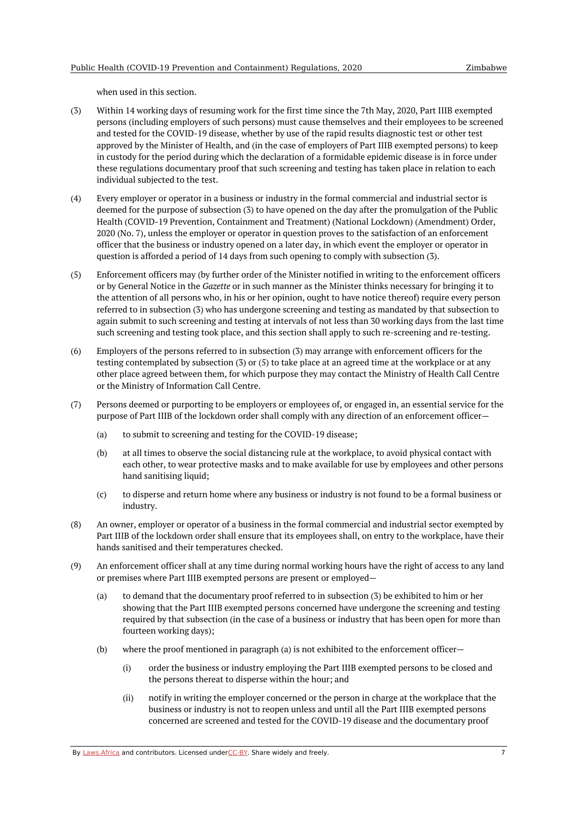when used in this section.

- (3) Within 14 working days of resuming work for the first time since the 7th May, 2020, Part IIIB exempted persons (including employers of such persons) must cause themselves and their employees to be screened and tested for the COVID-19 disease, whether by use of the rapid results diagnostic test or other test approved by the Minister of Health, and (in the case of employers of Part IIIB exempted persons) to keep in custody for the period during which the declaration of a formidable epidemic disease is in force under these regulations documentary proof that such screening and testing has taken place in relation to each individual subjected to the test.
- (4) Every employer or operator in a business or industry in the formal commercial and industrial sector is deemed for the purpose of subsection (3) to have opened on the day after the promulgation of the Public Health (COVID-19 Prevention, Containment and Treatment) (National Lockdown) (Amendment) Order, 2020 (No. 7), unless the employer or operator in question proves to the satisfaction of an enforcement officer that the business or industry opened on a later day, in which event the employer or operator in question is afforded a period of 14 days from such opening to comply with subsection (3).
- (5) Enforcement officers may (by further order of the Minister notified in writing to the enforcement officers or by General Notice in the *Gazette* or in such manner as the Minister thinks necessary for bringing it to the attention of all persons who, in his or her opinion, ought to have notice thereof) require every person referred to in subsection (3) who has undergone screening and testing as mandated by that subsection to again submit to such screening and testing at intervals of not less than 30 working days from the last time such screening and testing took place, and this section shall apply to such re-screening and re-testing.
- (6) Employers of the persons referred to in subsection (3) may arrange with enforcement officers for the testing contemplated by subsection (3) or (5) to take place at an agreed time at the workplace or at any other place agreed between them, for which purpose they may contact the Ministry of Health Call Centre or the Ministry of Information Call Centre.
- (7) Persons deemed or purporting to be employers or employees of, or engaged in, an essential service for the purpose of Part IIIB of the lockdown order shall comply with any direction of an enforcement officer—
	- (a) to submit to screening and testing for the COVID-19 disease;
	- (b) at all times to observe the social distancing rule at the workplace, to avoid physical contact with each other, to wear protective masks and to make available for use by employees and other persons hand sanitising liquid;
	- (c) to disperse and return home where any business or industry is not found to be a formal business or industry.
- (8) An owner, employer or operator of a business in the formal commercial and industrial sector exempted by Part IIIB of the lockdown order shall ensure that its employees shall, on entry to the workplace, have their hands sanitised and their temperatures checked.
- (9) An enforcement officer shall at any time during normal working hours have the right of access to any land or premises where Part IIIB exempted persons are present or employed—
	- (a) to demand that the documentary proof referred to in subsection (3) be exhibited to him or her showing that the Part IIIB exempted persons concerned have undergone the screening and testing required by that subsection (in the case of a business or industry that has been open for more than fourteen working days);
	- (b) where the proof mentioned in paragraph (a) is not exhibited to the enforcement officer-
		- (i) order the business or industry employing the Part IIIB exempted persons to be closed and the persons thereat to disperse within the hour; and
		- (ii) notify in writing the employer concerned or the person in charge at the workplace that the business or industry is not to reopen unless and until all the Part IIIB exempted persons concerned are screened and tested for the COVID-19 disease and the documentary proof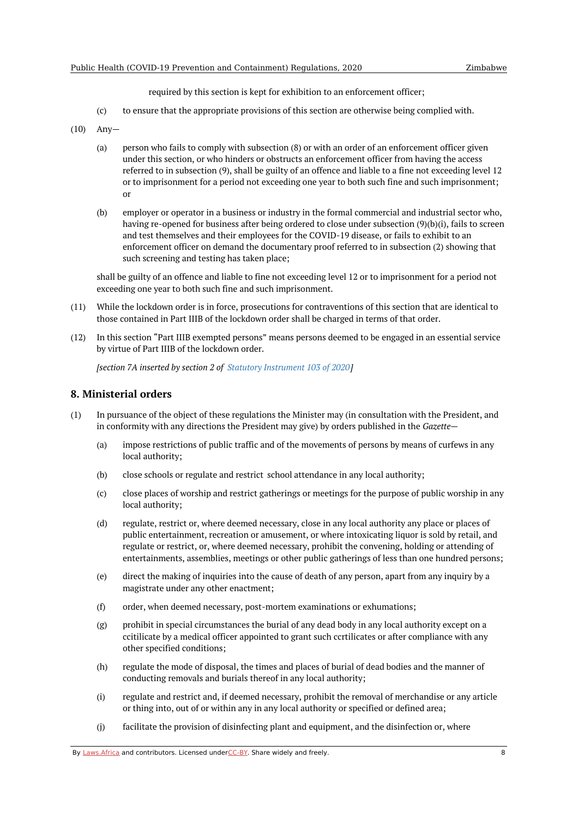required by this section is kept for exhibition to an enforcement officer;

- (c) to ensure that the appropriate provisions of this section are otherwise being complied with.
- (10) Any—
	- (a) person who fails to comply with subsection (8) or with an order of an enforcement officer given under this section, or who hinders or obstructs an enforcement officer from having the access referred to in subsection (9), shall be guilty of an offence and liable to a fine not exceeding level 12 or to imprisonment for a period not exceeding one year to both such fine and such imprisonment; or
	- (b) employer or operator in a business or industry in the formal commercial and industrial sector who, having re-opened for business after being ordered to close under subsection (9)(b)(i), fails to screen and test themselves and their employees for the COVID-19 disease, or fails to exhibit to an enforcement officer on demand the documentary proof referred to in subsection (2) showing that such screening and testing has taken place;

shall be guilty of an offence and liable to fine not exceeding level 12 or to imprisonment for a period not exceeding one year to both such fine and such imprisonment.

- (11) While the lockdown order is in force, prosecutions for contraventions of this section that are identical to those contained in Part IIIB of the lockdown order shall be charged in terms of that order.
- (12) In this section "Part IIIB exempted persons" means persons deemed to be engaged in an essential service by virtue of Part IIIB of the lockdown order.

*[section 7A inserted by section 2 of Statutory [Instrument](https://africanlii.org/akn/zw/act/si/2020/103) 103 of 2020]*

#### <span id="page-7-0"></span>**8. Ministerial orders**

- (1) In pursuance of the object of these regulations the Minister may (in consultation with the President, and in conformity with any directions the President may give) by orders published in the *Gazette*—
	- (a) impose restrictions of public traffic and of the movements of persons by means of curfews in any local authority;
	- (b) close schools or regulate and restrict school attendance in any local authority;
	- (c) close places of worship and restrict gatherings or meetings for the purpose of public worship in any local authority;
	- (d) regulate, restrict or, where deemed necessary, close in any local authority any place or places of public entertainment, recreation or amusement, or where intoxicating liquor is sold by retail, and regulate or restrict, or, where deemed necessary, prohibit the convening, holding or attending of entertainments, assemblies, meetings or other public gatherings of less than one hundred persons;
	- (e) direct the making of inquiries into the cause of death of any person, apart from any inquiry by a magistrate under any other enactment;
	- (f) order, when deemed necessary, post-mortem examinations or exhumations;
	- (g) prohibit in special circumstances the burial of any dead body in any local authority except on a ccitilicate by a medical officer appointed to grant such ccrtilicates or after compliance with any other specified conditions;
	- (h) regulate the mode of disposal, the times and places of burial of dead bodies and the manner of conducting removals and burials thereof in any local authority;
	- (i) regulate and restrict and, if deemed necessary, prohibit the removal of merchandise or any article or thing into, out of or within any in any local authority or specified or defined area;
	- (j) facilitate the provision of disinfecting plant and equipment, and the disinfection or, where

By [Laws.Africa](https://edit.laws.africa/widgets/pdf-attribution) and contributors. Licensed und[erCC-B](https://edit.laws.africa/widgets/pdf-cc-by)Y. Share widely and freely. **8** 8